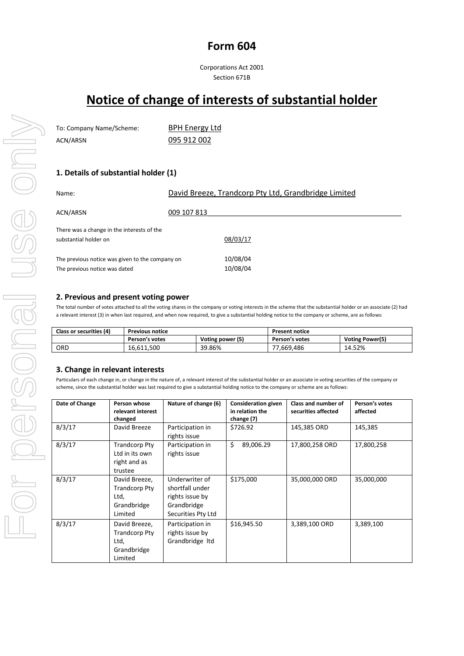# **Form 604**

Corporations Act 2001 Section 671B

# **Notice of change of interests of substantial holder**

| To: Company Name/Scheme: | <b>BPH Energy Ltd</b> |
|--------------------------|-----------------------|
| ACN/ARSN                 | 095 912 002           |

# **1. Details of substantial holder (1)**

| Name:                                                                            | David Breeze, Trandcorp Pty Ltd, Grandbridge Limited |  |
|----------------------------------------------------------------------------------|------------------------------------------------------|--|
| ACN/ARSN                                                                         | 009 107 813                                          |  |
| There was a change in the interests of the<br>substantial holder on              | 08/03/17                                             |  |
| The previous notice was given to the company on<br>The previous notice was dated | 10/08/04<br>10/08/04                                 |  |

#### **2. Previous and present voting power**

The total number of votes attached to all the voting shares in the company or voting interests in the scheme that the substantial holder or an associate (2) had a relevant interest (3) in when last required, and when now required, to give a substantial holding notice to the company or scheme, are as follows:

| Class or securities (4) | <b>Previous notice</b> |                  | <b>Present notice</b> |                 |
|-------------------------|------------------------|------------------|-----------------------|-----------------|
|                         | Person's votes         | Voting power (5) | Person's votes        | Voting Power(5) |
| ORD                     | 16,611,500             | 39.86%           | 77,669,486            | 14.52%          |

### **3. Change in relevant interests**

Particulars of each change in, or change in the nature of, a relevant interest of the substantial holder or an associate in voting securities of the company or scheme, since the substantial holder was last required to give a substantial holding notice to the company or scheme are as follows:

| Date of Change | Person whose<br>relevant interest<br>changed                            | Nature of change (6)                                                                      | <b>Consideration given</b><br>in relation the<br>change (7) | Class and number of<br>securities affected | Person's votes<br>affected |
|----------------|-------------------------------------------------------------------------|-------------------------------------------------------------------------------------------|-------------------------------------------------------------|--------------------------------------------|----------------------------|
| 8/3/17         | David Breeze                                                            | Participation in<br>rights issue                                                          | \$726.92                                                    | 145,385 ORD                                | 145,385                    |
| 8/3/17         | <b>Trandcorp Pty</b><br>Ltd in its own<br>right and as<br>trustee       | Participation in<br>rights issue                                                          | \$<br>89,006.29                                             | 17,800,258 ORD                             | 17,800,258                 |
| 8/3/17         | David Breeze,<br><b>Trandcorp Pty</b><br>Ltd,<br>Grandbridge<br>Limited | Underwriter of<br>shortfall under<br>rights issue by<br>Grandbridge<br>Securities Pty Ltd | \$175,000                                                   | 35,000,000 ORD                             | 35,000,000                 |
| 8/3/17         | David Breeze,<br>Trandcorp Pty<br>Ltd,<br>Grandbridge<br>Limited        | Participation in<br>rights issue by<br>Grandbridge Itd                                    | \$16,945.50                                                 | 3,389,100 ORD                              | 3,389,100                  |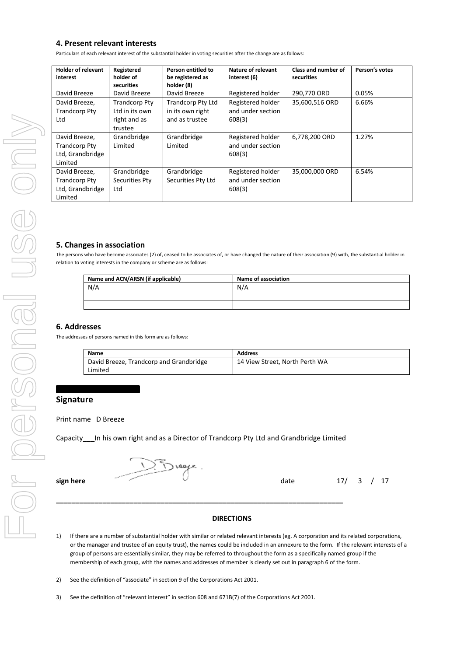# **4. Present relevant interests**

Particulars of each relevant interest of the substantial holder in voting securities after the change are as follows:

| <b>Holder of relevant</b><br>interest                                | Registered<br>holder of<br>securities                             | Person entitled to<br>be registered as<br>holder (8)    | Nature of relevant<br>interest (6)               | Class and number of<br>securities | Person's votes |
|----------------------------------------------------------------------|-------------------------------------------------------------------|---------------------------------------------------------|--------------------------------------------------|-----------------------------------|----------------|
| David Breeze                                                         | David Breeze                                                      | David Breeze                                            | Registered holder                                | 290,770 ORD                       | 0.05%          |
| David Breeze,<br><b>Trandcorp Pty</b><br>Ltd                         | <b>Trandcorp Pty</b><br>Ltd in its own<br>right and as<br>trustee | Trandcorp Pty Ltd<br>in its own right<br>and as trustee | Registered holder<br>and under section<br>608(3) | 35,600,516 ORD                    | 6.66%          |
| David Breeze,<br><b>Trandcorp Pty</b><br>Ltd, Grandbridge<br>Limited | Grandbridge<br>Limited                                            | Grandbridge<br>Limited                                  | Registered holder<br>and under section<br>608(3) | 6,778,200 ORD                     | 1.27%          |
| David Breeze,<br><b>Trandcorp Pty</b><br>Ltd, Grandbridge<br>Limited | Grandbridge<br>Securities Pty<br>Ltd                              | Grandbridge<br>Securities Pty Ltd                       | Registered holder<br>and under section<br>608(3) | 35,000,000 ORD                    | 6.54%          |

#### **5. Changes in association**

The persons who have become associates (2) of, ceased to be associates of, or have changed the nature of their association (9) with, the substantial holder in relation to voting interests in the company or scheme are as follows:

| Name and ACN/ARSN (if applicable) | <b>Name of association</b> |
|-----------------------------------|----------------------------|
| N/A                               | N/A                        |
|                                   |                            |
|                                   |                            |

#### **6. Addresses**

The addresses of persons named in this form are as follows:

| Name                                    | <b>Address</b>                 |
|-----------------------------------------|--------------------------------|
| David Breeze, Trandcorp and Grandbridge | 14 View Street, North Perth WA |
| Limited                                 |                                |

# **Signature**

#### Print name D Breeze

Capacity\_\_\_In his own right and as a Director of Trandcorp Pty Ltd and Grandbridge Limited

**\_\_\_\_\_\_\_\_\_\_\_\_\_\_\_\_\_\_\_\_\_\_\_\_\_\_\_\_\_\_\_\_\_\_\_\_\_\_\_\_\_\_\_\_\_\_\_\_\_\_\_\_\_\_\_\_\_\_\_\_\_\_\_\_\_\_\_\_\_\_\_\_\_\_**

**sign here date** 17/ 3 / 17

#### **DIRECTIONS**

- 1) If there are a number of substantial holder with similar or related relevant interests (eg. A corporation and its related corporations, or the manager and trustee of an equity trust), the names could be included in an annexure to the form. If the relevant interests of a group of persons are essentially similar, they may be referred to throughout the form as a specifically named group if the membership of each group, with the names and addresses of member is clearly set out in paragraph 6 of the form.
- 2) See the definition of "associate" in section 9 of the Corporations Act 2001.
- 3) See the definition of "relevant interest" in section 608 and 671B(7) of the Corporations Act 2001.